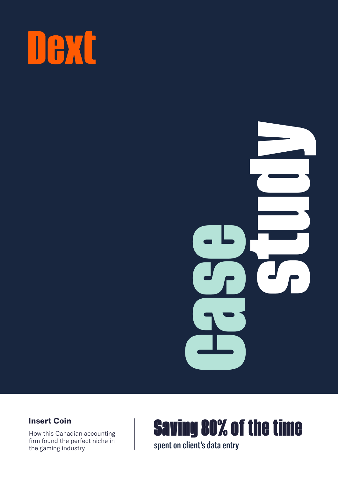



### **Insert Coin**

firm found the perfect niche in the gaming industry



spent on client's data entry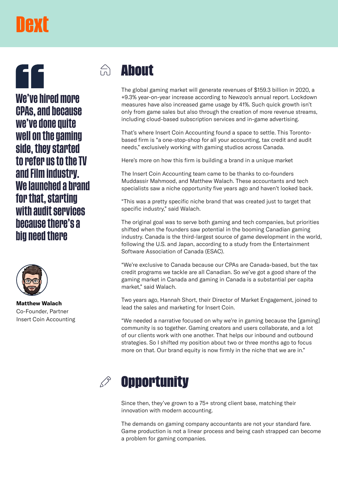# **TAXE**

**We've hired more CPAs, and because we've done quite well on the gaming side, they started to refer us to the TV and Film industry. We launched a brand for that, starting with audit services because there's a big need there**



**Matthew Walach** Co-Founder, Partner Insert Coin Accounting

### $\bigcap_{n=1}^{\infty}$ **About**

The global gaming market will generate revenues of \$159.3 billion in 2020, a +9.3% year-on-year increase according to Newzoo's annual report. Lockdown measures have also increased game usage by 41%. Such quick growth isn't only from game sales but also through the creation of more revenue streams, including cloud-based subscription services and in-game advertising.

That's where Insert Coin Accounting found a space to settle. This Torontobased firm is "a one-stop-shop for all your accounting, tax credit and audit needs," exclusively working with gaming studios across Canada.

Here's more on how this firm is building a brand in a unique market

The Insert Coin Accounting team came to be thanks to co-founders Muddassir Mahmood, and Matthew Walach. These accountants and tech specialists saw a niche opportunity five years ago and haven't looked back.

"This was a pretty specific niche brand that was created just to target that specific industry," said Walach.

The original goal was to serve both gaming and tech companies, but priorities shifted when the founders saw potential in the booming Canadian gaming industry. Canada is the third-largest source of game development in the world, following the U.S. and Japan, according to a study from the Entertainment Software Association of Canada (ESAC).

"We're exclusive to Canada because our CPAs are Canada-based, but the tax credit programs we tackle are all Canadian. So we've got a good share of the gaming market in Canada and gaming in Canada is a substantial per capita market," said Walach.

Two years ago, Hannah Short, their Director of Market Engagement, joined to lead the sales and marketing for Insert Coin.

"We needed a narrative focused on why we're in gaming because the [gaming] community is so together. Gaming creators and users collaborate, and a lot of our clients work with one another. That helps our inbound and outbound strategies. So I shifted my position about two or three months ago to focus more on that. Our brand equity is now firmly in the niche that we are in."



Since then, they've grown to a 75+ strong client base, matching their innovation with modern accounting.

The demands on gaming company accountants are not your standard fare. Game production is not a linear process and being cash strapped can become a problem for gaming companies.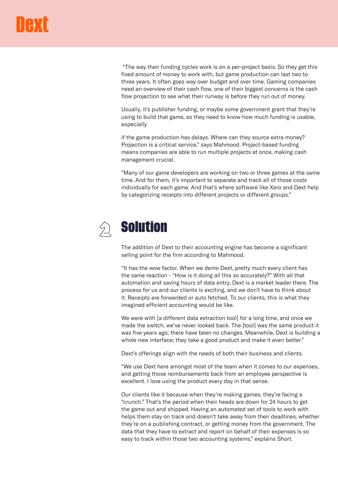"The way their funding cycles work is on a per-project basis. So they get this fixed amount of money to work with, but game production can last two to three years. It often goes way over budget and over time. Gaming companies need an overview of their cash flow, one of their biggest concerns is the cash flow projection to see what their runway is before they run out of money.

Usually, it's publisher funding, or maybe some government grant that they're using to build that game, so they need to know how much funding is usable, especially

if the game production has delays. Where can they source extra money? Projection is a critical service," says Mahmood. Project-based funding means companies are able to run multiple projects at once, making cash management crucial.

"Many of our game developers are working on two or three games at the same time. And for them, it's important to separate and track all of those costs individually for each game. And that's where software like Xero and Dext help by categorizing receipts into different projects or different groups."



The addition of Dext to their accounting engine has become a significant selling point for the firm according to Mahmood.

"It has the wow factor. When we demo Dext, pretty much every client has the same reaction - "How is it doing all this so accurately?" With all that automation and saving hours of data entry, Dext is a market leader there. The process for us and our clients is exciting, and we don't have to think about it. Receipts are forwarded or auto fetched. To our clients, this is what they imagined efficient accounting would be like.

We were with [a different data extraction tool] for a long time, and once we made the switch, we've never looked back. The [tool] was the same product it was five years ago; there have been no changes. Meanwhile, Dext is building a whole new interface; they take a good product and make it even better."

Dext's offerings align with the needs of both their business and clients.

"We use Dext here amongst most of the team when it comes to our expenses, and getting those reimbursements back from an employee perspective is excellent. I love using the product every day in that sense.

Our clients like it because when they're making games, they're facing a "crunch." That's the period when their heads are down for 24 hours to get the game out and shipped. Having an automated set of tools to work with helps them stay on track and doesn't take away from their deadlines, whether they're on a publishing contract, or getting money from the government. The data that they have to extract and report on behalf of their expenses is so easy to track within those two accounting systems," explains Short.